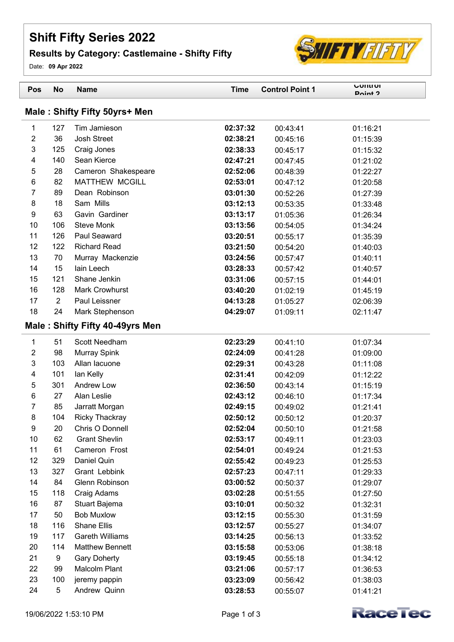## **Shift Fifty Series 2022**

## **Results by Category: Castlemaine - Shifty Fifty**

Date: **09 Apr 2022**

| Pos            | <b>No</b>  | <b>Name</b>                     | <b>Time</b> | <b>Control Point 1</b> | <b>LONTION</b><br>Doint ? |
|----------------|------------|---------------------------------|-------------|------------------------|---------------------------|
|                |            | Male: Shifty Fifty 50yrs+ Men   |             |                        |                           |
| $\mathbf{1}$   | 127        | Tim Jamieson                    | 02:37:32    | 00:43:41               | 01:16:21                  |
| $\overline{2}$ | 36         | <b>Josh Street</b>              | 02:38:21    | 00:45:16               | 01:15:39                  |
| $\mathsf 3$    | 125        | Craig Jones                     | 02:38:33    | 00:45:17               | 01:15:32                  |
| 4              | 140        | Sean Kierce                     | 02:47:21    | 00:47:45               | 01:21:02                  |
| 5              | 28         | Cameron Shakespeare             | 02:52:06    | 00:48:39               | 01:22:27                  |
| 6              | 82         | <b>MATTHEW MCGILL</b>           | 02:53:01    | 00:47:12               | 01:20:58                  |
| 7              | 89         | Dean Robinson                   | 03:01:30    | 00:52:26               | 01:27:39                  |
| 8              | 18         | Sam Mills                       | 03:12:13    | 00:53:35               | 01:33:48                  |
| 9              | 63         | Gavin Gardiner                  | 03:13:17    | 01:05:36               | 01:26:34                  |
| 10             | 106        | <b>Steve Monk</b>               | 03:13:56    | 00:54:05               | 01:34:24                  |
| 11             | 126        | Paul Seaward                    | 03:20:51    | 00:55:17               | 01:35:39                  |
| 12             | 122        | <b>Richard Read</b>             | 03:21:50    | 00:54:20               | 01:40:03                  |
| 13             | 70         | Murray Mackenzie                | 03:24:56    | 00:57:47               | 01:40:11                  |
| 14             | 15         | lain Leech                      | 03:28:33    | 00:57:42               | 01:40:57                  |
| 15             | 121        | Shane Jenkin                    | 03:31:06    | 00:57:15               | 01:44:01                  |
| 16             | 128        | <b>Mark Crowhurst</b>           | 03:40:20    | 01:02:19               | 01:45:19                  |
| 17             | $\sqrt{2}$ | Paul Leissner                   | 04:13:28    | 01:05:27               | 02:06:39                  |
| 18             | 24         | Mark Stephenson                 | 04:29:07    | 01:09:11               | 02:11:47                  |
|                |            | Male: Shifty Fifty 40-49yrs Men |             |                        |                           |
| $\mathbf{1}$   | 51         | Scott Needham                   | 02:23:29    | 00:41:10               | 01:07:34                  |
| $\overline{2}$ | 98         | <b>Murray Spink</b>             | 02:24:09    | 00:41:28               | 01:09:00                  |
| 3              | 103        | Allan lacuone                   | 02:29:31    | 00:43:28               | 01:11:08                  |
| 4              | 101        | lan Kelly                       | 02:31:41    | 00:42:09               | 01:12:22                  |
| 5              | 301        | <b>Andrew Low</b>               | 02:36:50    | 00:43:14               | 01:15:19                  |
| 6              | 27         | Alan Leslie                     | 02:43:12    | 00:46:10               | 01:17:34                  |
| 7              | 85         | Jarratt Morgan                  | 02:49:15    | 00:49:02               | 01:21:41                  |
| 8              | 104        | <b>Ricky Thackray</b>           | 02:50:12    | 00:50:12               | 01:20:37                  |
| 9              | 20         | Chris O Donnell                 | 02:52:04    | 00:50:10               | 01:21:58                  |
| 10             | 62         | <b>Grant Shevlin</b>            | 02:53:17    | 00:49:11               | 01:23:03                  |
| 11             | 61         | Cameron Frost                   | 02:54:01    | 00:49:24               | 01:21:53                  |
| 12             | 329        | Daniel Quin                     | 02:55:42    | 00:49:23               | 01:25:53                  |
| 13             | 327        | Grant Lebbink                   | 02:57:23    | 00:47:11               | 01:29:33                  |
| 14             | 84         | Glenn Robinson                  | 03:00:52    | 00:50:37               | 01:29:07                  |
| 15             | 118        | Craig Adams                     | 03:02:28    | 00:51:55               | 01:27:50                  |
| 16             | 87         | Stuart Bajema                   | 03:10:01    | 00:50:32               | 01:32:31                  |
| 17             | 50         | <b>Bob Muxlow</b>               | 03:12:15    | 00:55:30               | 01:31:59                  |
| 18             | 116        | Shane Ellis                     | 03:12:57    | 00:55:27               | 01:34:07                  |
| 19             | 117        | <b>Gareth Williams</b>          | 03:14:25    | 00:56:13               | 01:33:52                  |
| 20             | 114        | <b>Matthew Bennett</b>          | 03:15:58    | 00:53:06               | 01:38:18                  |
| 21             | 9          | <b>Gary Doherty</b>             | 03:19:45    | 00:55:18               | 01:34:12                  |
| 22             | 99         | Malcolm Plant                   | 03:21:06    | 00:57:17               | 01:36:53                  |
| 23             | 100        | jeremy pappin                   | 03:23:09    | 00:56:42               | 01:38:03                  |
| 24             | 5          | Andrew Quinn                    | 03:28:53    | 00:55:07               | 01:41:21                  |



SHIFTYFIFTY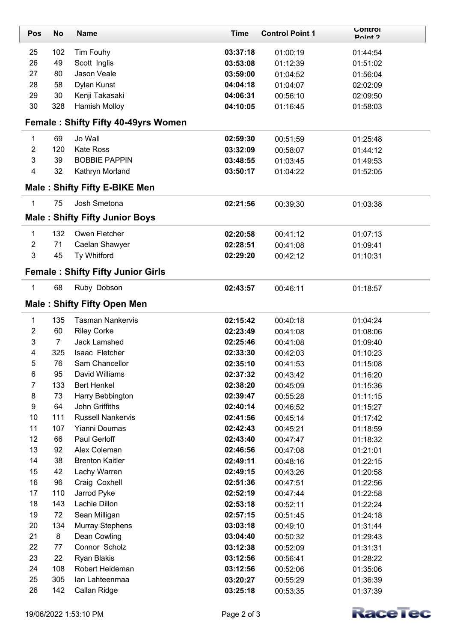| Pos              | <b>No</b>      | <b>Name</b>                                | <b>Time</b>          | <b>Control Point 1</b> | <b>UUIILIUI</b><br>Doint ? |
|------------------|----------------|--------------------------------------------|----------------------|------------------------|----------------------------|
| 25               | 102            | Tim Fouhy                                  | 03:37:18             | 01:00:19               | 01:44:54                   |
| 26               | 49             | Scott Inglis                               | 03:53:08             | 01:12:39               | 01:51:02                   |
| 27               | 80             | Jason Veale                                | 03:59:00             | 01:04:52               | 01:56:04                   |
| 28               | 58             | Dylan Kunst                                | 04:04:18             | 01:04:07               | 02:02:09                   |
| 29               | 30             | Kenji Takasaki                             | 04:06:31             | 00:56:10               | 02:09:50                   |
| 30               | 328            | Hamish Molloy                              | 04:10:05             | 01:16:45               | 01:58:03                   |
|                  |                | <b>Female: Shifty Fifty 40-49yrs Women</b> |                      |                        |                            |
| $\mathbf{1}$     | 69             | Jo Wall                                    | 02:59:30             | 00:51:59               | 01:25:48                   |
| $\overline{2}$   | 120            | <b>Kate Ross</b>                           | 03:32:09             | 00:58:07               | 01:44:12                   |
| 3                | 39             | <b>BOBBIE PAPPIN</b>                       | 03:48:55             | 01:03:45               | 01:49:53                   |
| 4                | 32             | Kathryn Morland                            | 03:50:17             | 01:04:22               | 01:52:05                   |
|                  |                | <b>Male: Shifty Fifty E-BIKE Men</b>       |                      |                        |                            |
| $\mathbf{1}$     | 75             | Josh Smetona                               | 02:21:56             | 00:39:30               | 01:03:38                   |
|                  |                | <b>Male: Shifty Fifty Junior Boys</b>      |                      |                        |                            |
| 1                | 132            | Owen Fletcher                              | 02:20:58             | 00:41:12               | 01:07:13                   |
| $\overline{c}$   | 71             | Caelan Shawyer                             | 02:28:51             | 00:41:08               | 01:09:41                   |
| 3                | 45             | Ty Whitford                                | 02:29:20             | 00:42:12               | 01:10:31                   |
|                  |                | <b>Female: Shifty Fifty Junior Girls</b>   |                      |                        |                            |
| 1                | 68             | Ruby Dobson                                | 02:43:57             | 00:46:11               | 01:18:57                   |
|                  |                | <b>Male: Shifty Fifty Open Men</b>         |                      |                        |                            |
| 1                | 135            | <b>Tasman Nankervis</b>                    | 02:15:42             | 00:40:18               | 01:04:24                   |
| 2                | 60             | <b>Riley Corke</b>                         | 02:23:49             | 00:41:08               | 01:08:06                   |
| 3                | $\overline{7}$ | <b>Jack Lamshed</b>                        | 02:25:46             | 00:41:08               | 01:09:40                   |
| 4                | 325            | Isaac Fletcher                             | 02:33:30             | 00:42:03               | 01:10:23                   |
| 5                | 76             | Sam Chancellor                             | 02:35:10             | 00:41:53               | 01:15:08                   |
| 6                | 95             | David Williams                             | 02:37:32             | 00:43:42               | 01:16:20                   |
| 7                | 133            | <b>Bert Henkel</b>                         | 02:38:20             | 00:45:09               | 01:15:36                   |
| 8                | 73             | Harry Bebbington                           | 02:39:47             | 00:55:28               | 01:11:15                   |
| $\boldsymbol{9}$ | 64             | John Griffiths                             | 02:40:14             | 00:46:52               | 01:15:27                   |
| 10               | 111            | <b>Russell Nankervis</b>                   | 02:41:56             | 00:45:14               | 01:17:42                   |
| 11               | 107            | Yianni Doumas                              | 02:42:43             | 00:45:21               | 01:18:59                   |
| 12               | 66             | Paul Gerloff                               | 02:43:40             | 00:47:47               | 01:18:32                   |
| 13               | 92             | Alex Coleman                               | 02:46:56             | 00:47:08               | 01:21:01                   |
| 14               | 38             | <b>Brenton Kaitler</b>                     | 02:49:11             | 00:48:16               | 01:22:15                   |
| 15<br>16         | 42<br>96       | Lachy Warren                               | 02:49:15             | 00:43:26               | 01:20:58                   |
| 17               | 110            | Craig Coxhell<br>Jarrod Pyke               | 02:51:36<br>02:52:19 | 00:47:51               | 01:22:56                   |
| 18               | 143            | Lachie Dillon                              | 02:53:18             | 00:47:44<br>00:52:11   | 01:22:58<br>01:22:24       |
| 19               | 72             | Sean Milligan                              | 02:57:15             | 00:51:45               | 01:24:18                   |
| 20               | 134            | <b>Murray Stephens</b>                     | 03:03:18             | 00:49:10               | 01:31:44                   |
| 21               | 8              | Dean Cowling                               | 03:04:40             | 00:50:32               | 01:29:43                   |
| 22               | 77             | Connor Scholz                              | 03:12:38             | 00:52:09               | 01:31:31                   |
| 23               | 22             | Ryan Blakis                                | 03:12:56             | 00:56:41               | 01:28:22                   |
| 24               | 108            | Robert Heideman                            | 03:12:56             | 00:52:06               | 01:35:06                   |
| 25               | 305            | lan Lahteenmaa                             | 03:20:27             | 00:55:29               | 01:36:39                   |
| 26               | 142            | Callan Ridge                               | 03:25:18             | 00:53:35               | 01:37:39                   |

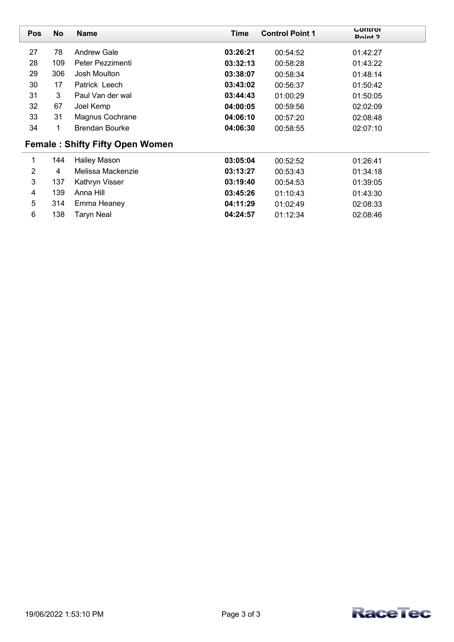| <b>Pos</b> | <b>No</b> | <b>Name</b>                            | Time     | <b>Control Point 1</b> | <b>UUIILIUI</b><br>Doint ? |
|------------|-----------|----------------------------------------|----------|------------------------|----------------------------|
| 27         | 78        | <b>Andrew Gale</b>                     | 03:26:21 | 00:54:52               | 01:42:27                   |
| 28         | 109       | Peter Pezzimenti                       | 03:32:13 | 00:58:28               | 01:43:22                   |
| 29         | 306       | Josh Moulton                           | 03:38:07 | 00:58:34               | 01:48:14                   |
| 30         | 17        | Patrick Leech                          | 03:43:02 | 00:56:37               | 01:50:42                   |
| 31         | 3         | Paul Van der wal                       | 03:44:43 | 01:00:29               | 01:50:05                   |
| 32         | 67        | Joel Kemp                              | 04:00:05 | 00:59:56               | 02:02:09                   |
| 33         | 31        | Magnus Cochrane                        | 04:06:10 | 00:57:20               | 02:08:48                   |
| 34         | 1         | <b>Brendan Bourke</b>                  | 04:06:30 | 00:58:55               | 02:07:10                   |
|            |           | <b>Female: Shifty Fifty Open Women</b> |          |                        |                            |
| 1          | 144       | <b>Hailey Mason</b>                    | 03:05:04 | 00:52:52               | 01:26:41                   |
| 2          | 4         | Melissa Mackenzie                      | 03:13:27 | 00:53:43               | 01:34:18                   |
| 3          | 137       | Kathryn Visser                         | 03:19:40 | 00:54:53               | 01:39:05                   |
| 4          | 139       | Anna Hill                              | 03:45:26 | 01:10:43               | 01:43:30                   |
| 5          | 314       | Emma Heaney                            | 04:11:29 | 01:02:49               | 02:08:33                   |
| 6          | 138       | Taryn Neal                             | 04:24:57 | 01:12:34               | 02:08:46                   |

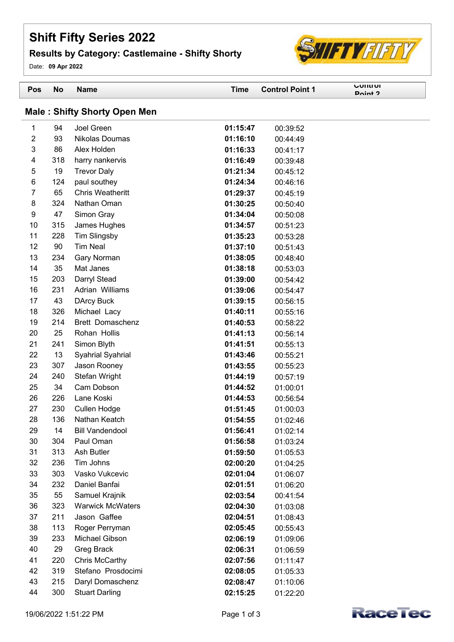## **Shift Fifty Series 2022**

## **Results by Category: Castlemaine - Shifty Shorty**

Date: **09 Apr 2022**



| Pos                                 | No         | <b>Name</b>                      | <b>Time</b>          | <b>Control Point 1</b> | <b>UONTOI</b><br>Doint ? |  |
|-------------------------------------|------------|----------------------------------|----------------------|------------------------|--------------------------|--|
| <b>Male: Shifty Shorty Open Men</b> |            |                                  |                      |                        |                          |  |
| 1                                   | 94         | Joel Green                       | 01:15:47             | 00:39:52               |                          |  |
| $\overline{2}$                      | 93         | Nikolas Doumas                   | 01:16:10             | 00:44:49               |                          |  |
| 3                                   | 86         | Alex Holden                      | 01:16:33             | 00:41:17               |                          |  |
| 4                                   | 318        | harry nankervis                  | 01:16:49             | 00:39:48               |                          |  |
| 5                                   | 19         | <b>Trevor Daly</b>               | 01:21:34             | 00:45:12               |                          |  |
| 6                                   | 124        | paul southey                     | 01:24:34             | 00:46:16               |                          |  |
| 7                                   | 65         | <b>Chris Weatheritt</b>          | 01:29:37             | 00:45:19               |                          |  |
| 8                                   | 324        | Nathan Oman                      | 01:30:25             | 00:50:40               |                          |  |
| 9                                   | 47         | Simon Gray                       | 01:34:04             | 00:50:08               |                          |  |
| 10                                  | 315        | James Hughes                     | 01:34:57             | 00:51:23               |                          |  |
| 11                                  | 228        | Tim Slingsby                     | 01:35:23             | 00:53:28               |                          |  |
| 12                                  | 90         | <b>Tim Neal</b>                  | 01:37:10             | 00:51:43               |                          |  |
| 13                                  | 234        | Gary Norman                      | 01:38:05             | 00:48:40               |                          |  |
| 14                                  | 35         | Mat Janes                        | 01:38:18             | 00:53:03               |                          |  |
| 15                                  | 203        | Darryl Stead                     | 01:39:00             | 00:54:42               |                          |  |
| 16                                  | 231        | Adrian Williams                  | 01:39:06             | 00:54:47               |                          |  |
| 17                                  | 43         | <b>DArcy Buck</b>                | 01:39:15             | 00:56:15               |                          |  |
| 18<br>19                            | 326<br>214 | Michael Lacy<br>Brett Domaschenz | 01:40:11<br>01:40:53 | 00:55:16               |                          |  |
| 20                                  | 25         | Rohan Hollis                     | 01:41:13             | 00:58:22<br>00:56:14   |                          |  |
| 21                                  | 241        | Simon Blyth                      | 01:41:51             | 00:55:13               |                          |  |
| 22                                  | 13         | Syahrial Syahrial                | 01:43:46             | 00:55:21               |                          |  |
| 23                                  | 307        | Jason Rooney                     | 01:43:55             | 00:55:23               |                          |  |
| 24                                  | 240        | Stefan Wright                    | 01:44:19             | 00:57:19               |                          |  |
| 25                                  | 34         | Cam Dobson                       | 01:44:52             | 01:00:01               |                          |  |
| 26                                  | 226        | Lane Koski                       | 01:44:53             | 00:56:54               |                          |  |
| 27                                  | 230        | Cullen Hodge                     | 01:51:45             | 01:00:03               |                          |  |
| 28                                  | 136        | Nathan Keatch                    | 01:54:55             | 01:02:46               |                          |  |
| 29                                  | 14         | <b>Bill Vandendool</b>           | 01:56:41             | 01:02:14               |                          |  |
| 30                                  | 304        | Paul Oman                        | 01:56:58             | 01:03:24               |                          |  |
| 31                                  | 313        | Ash Butler                       | 01:59:50             | 01:05:53               |                          |  |
| 32                                  | 236        | Tim Johns                        | 02:00:20             | 01:04:25               |                          |  |
| 33                                  | 303        | Vasko Vukcevic                   | 02:01:04             | 01:06:07               |                          |  |
| 34                                  | 232        | Daniel Banfai                    | 02:01:51             | 01:06:20               |                          |  |
| 35                                  | 55         | Samuel Krajnik                   | 02:03:54             | 00:41:54               |                          |  |
| 36                                  | 323        | <b>Warwick McWaters</b>          | 02:04:30             | 01:03:08               |                          |  |
| 37                                  | 211        | Jason Gaffee                     | 02:04:51             | 01:08:43               |                          |  |
| 38                                  | 113        | Roger Perryman                   | 02:05:45             | 00:55:43               |                          |  |
| 39                                  | 233        | Michael Gibson                   | 02:06:19             | 01:09:06               |                          |  |
| 40                                  | 29         | Greg Brack                       | 02:06:31             | 01:06:59               |                          |  |
| 41                                  | 220        | Chris McCarthy                   | 02:07:56             | 01:11:47               |                          |  |
| 42                                  | 319        | Stefano Prosdocimi               | 02:08:05             | 01:05:33               |                          |  |
| 43                                  | 215        | Daryl Domaschenz                 | 02:08:47             | 01:10:06               |                          |  |
| 44                                  | 300        | <b>Stuart Darling</b>            | 02:15:25             | 01:22:20               |                          |  |

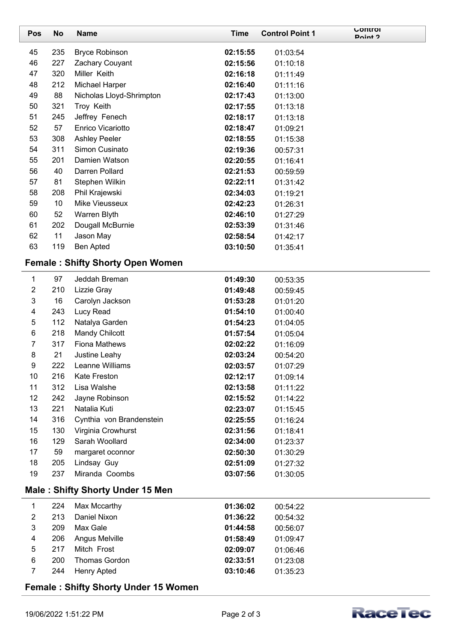| Pos                 | No                                          | <b>Name</b>                             | <b>Time</b> | <b>Control Point 1</b> | <b>UUIILIUI</b><br>Doint ? |  |
|---------------------|---------------------------------------------|-----------------------------------------|-------------|------------------------|----------------------------|--|
| 45                  | 235                                         | <b>Bryce Robinson</b>                   | 02:15:55    | 01:03:54               |                            |  |
| 46                  | 227                                         | Zachary Couyant                         | 02:15:56    | 01:10:18               |                            |  |
| 47                  | 320                                         | Miller Keith                            | 02:16:18    | 01:11:49               |                            |  |
| 48                  | 212                                         | Michael Harper                          | 02:16:40    | 01:11:16               |                            |  |
| 49                  | 88                                          | Nicholas Lloyd-Shrimpton                | 02:17:43    | 01:13:00               |                            |  |
| 50                  | 321                                         | Troy Keith                              | 02:17:55    | 01:13:18               |                            |  |
| 51                  | 245                                         | Jeffrey Fenech                          | 02:18:17    | 01:13:18               |                            |  |
| 52                  | 57                                          | Enrico Vicariotto                       | 02:18:47    | 01:09:21               |                            |  |
| 53                  | 308                                         | <b>Ashley Peeler</b>                    | 02:18:55    | 01:15:38               |                            |  |
| 54                  | 311                                         | Simon Cusinato                          | 02:19:36    | 00:57:31               |                            |  |
| 55                  | 201                                         | Damien Watson                           | 02:20:55    | 01:16:41               |                            |  |
| 56                  | 40                                          | Darren Pollard                          | 02:21:53    | 00:59:59               |                            |  |
| 57                  | 81                                          | Stephen Wilkin                          | 02:22:11    | 01:31:42               |                            |  |
| 58                  | 208                                         | Phil Krajewski                          | 02:34:03    | 01:19:21               |                            |  |
| 59                  | 10                                          | Mike Vieusseux                          | 02:42:23    | 01:26:31               |                            |  |
| 60                  | 52                                          | Warren Blyth                            | 02:46:10    | 01:27:29               |                            |  |
| 61                  | 202                                         | Dougall McBurnie                        | 02:53:39    | 01:31:46               |                            |  |
| 62                  | 11                                          | Jason May                               | 02:58:54    | 01:42:17               |                            |  |
| 63                  | 119                                         | <b>Ben Apted</b>                        | 03:10:50    | 01:35:41               |                            |  |
|                     |                                             | <b>Female: Shifty Shorty Open Women</b> |             |                        |                            |  |
| 1                   | 97                                          | Jeddah Breman                           | 01:49:30    | 00:53:35               |                            |  |
| $\overline{2}$      | 210                                         | Lizzie Gray                             | 01:49:48    | 00:59:45               |                            |  |
| $\mathfrak{S}$      | 16                                          | Carolyn Jackson                         | 01:53:28    | 01:01:20               |                            |  |
| 4                   | 243                                         | Lucy Read                               | 01:54:10    | 01:00:40               |                            |  |
| 5                   | 112                                         | Natalya Garden                          | 01:54:23    | 01:04:05               |                            |  |
| 6                   | 218                                         | Mandy Chilcott                          | 01:57:54    | 01:05:04               |                            |  |
| $\overline{7}$      | 317                                         | <b>Fiona Mathews</b>                    | 02:02:22    | 01:16:09               |                            |  |
| 8                   | 21                                          | Justine Leahy                           | 02:03:24    | 00:54:20               |                            |  |
| 9                   | 222                                         | Leanne Williams                         | 02:03:57    | 01:07:29               |                            |  |
| 10                  | 216                                         | <b>Kate Freston</b>                     | 02:12:17    | 01:09:14               |                            |  |
| 11                  | 312                                         | Lisa Walshe                             | 02:13:58    | 01:11:22               |                            |  |
| 12                  | 242                                         | Jayne Robinson                          | 02:15:52    | 01:14:22               |                            |  |
| 13                  | 221                                         | Natalia Kuti                            | 02:23:07    | 01:15:45               |                            |  |
| 14                  | 316                                         | Cynthia von Brandenstein                | 02:25:55    | 01:16:24               |                            |  |
| 15                  | 130                                         | Virginia Crowhurst                      | 02:31:56    | 01:18:41               |                            |  |
| 16                  | 129                                         | Sarah Woollard                          | 02:34:00    | 01:23:37               |                            |  |
| 17                  | 59                                          | margaret oconnor                        | 02:50:30    | 01:30:29               |                            |  |
| 18<br>19            | 205<br>237                                  | Lindsay Guy<br>Miranda Coombs           | 02:51:09    | 01:27:32               |                            |  |
|                     |                                             |                                         | 03:07:56    | 01:30:05               |                            |  |
|                     |                                             | <b>Male: Shifty Shorty Under 15 Men</b> |             |                        |                            |  |
| 1                   | 224                                         | Max Mccarthy                            | 01:36:02    | 00:54:22               |                            |  |
| 2                   | 213                                         | Daniel Nixon                            | 01:36:22    | 00:54:32               |                            |  |
| 3                   | 209                                         | Max Gale                                | 01:44:58    | 00:56:07               |                            |  |
| 4                   | 206                                         | Angus Melville                          | 01:58:49    | 01:09:47               |                            |  |
| 5                   | 217                                         | Mitch Frost                             | 02:09:07    | 01:06:46               |                            |  |
| 6<br>$\overline{7}$ | 200<br>244                                  | <b>Thomas Gordon</b>                    | 02:33:51    | 01:23:08               |                            |  |
|                     |                                             | <b>Henry Apted</b>                      | 03:10:46    | 01:35:23               |                            |  |
|                     | <b>Female: Shifty Shorty Under 15 Women</b> |                                         |             |                        |                            |  |

 $\overline{\phantom{0}}$